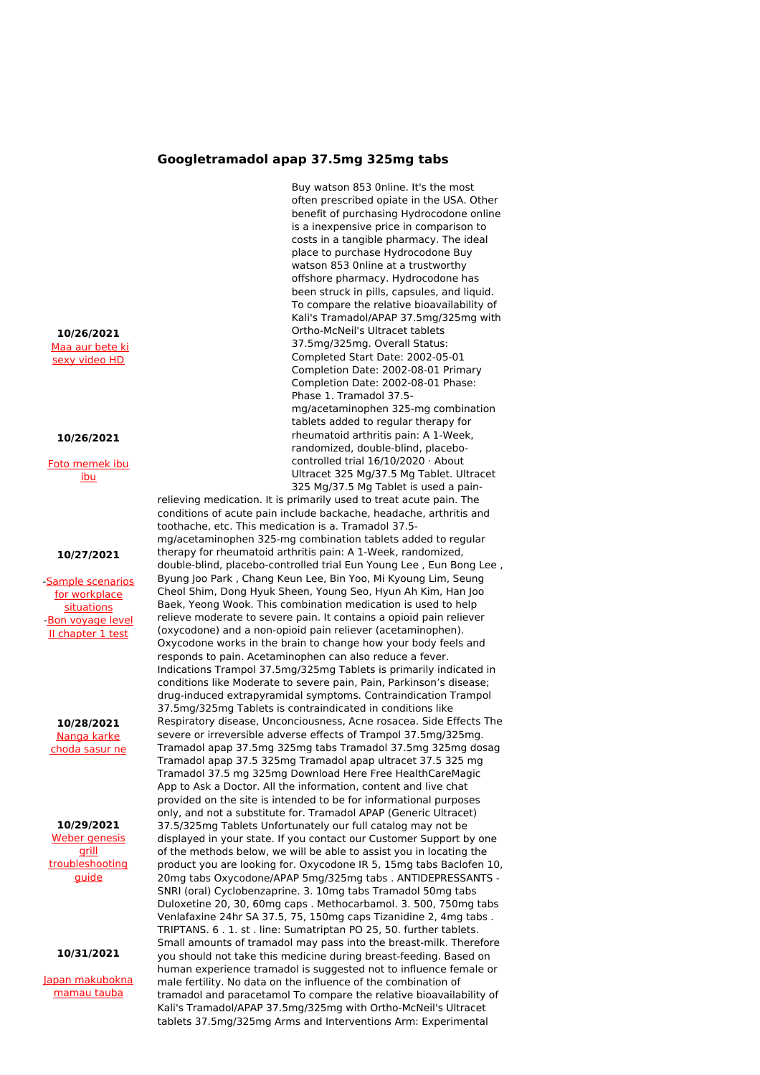# **Googletramadol apap 37.5mg 325mg tabs**

Buy watson 853 0nline. It's the most often prescribed opiate in the USA. Other benefit of purchasing Hydrocodone online is a inexpensive price in comparison to costs in a tangible pharmacy. The ideal place to purchase Hydrocodone Buy watson 853 0nline at a trustworthy offshore pharmacy. Hydrocodone has been struck in pills, capsules, and liquid. To compare the relative bioavailability of Kali's Tramadol/APAP 37.5mg/325mg with Ortho-McNeil's Ultracet tablets 37.5mg/325mg. Overall Status: Completed Start Date: 2002-05-01 Completion Date: 2002-08-01 Primary Completion Date: 2002-08-01 Phase: Phase 1. Tramadol 37.5 mg/acetaminophen 325-mg combination tablets added to regular therapy for rheumatoid arthritis pain: A 1-Week, randomized, double-blind, placebocontrolled trial 16/10/2020 · About Ultracet 325 Mg/37.5 Mg Tablet. Ultracet 325 Mg/37.5 Mg Tablet is used a pain-

relieving medication. It is primarily used to treat acute pain. The conditions of acute pain include backache, headache, arthritis and toothache, etc. This medication is a. Tramadol 37.5 mg/acetaminophen 325-mg combination tablets added to regular therapy for rheumatoid arthritis pain: A 1-Week, randomized, double-blind, placebo-controlled trial Eun Young Lee , Eun Bong Lee , Byung Joo Park , Chang Keun Lee, Bin Yoo, Mi Kyoung Lim, Seung Cheol Shim, Dong Hyuk Sheen, Young Seo, Hyun Ah Kim, Han Joo Baek, Yeong Wook. This combination medication is used to help relieve moderate to severe pain. It contains a opioid pain reliever (oxycodone) and a non-opioid pain reliever (acetaminophen). Oxycodone works in the brain to change how your body feels and responds to pain. Acetaminophen can also reduce a fever. Indications Trampol 37.5mg/325mg Tablets is primarily indicated in conditions like Moderate to severe pain, Pain, Parkinson's disease; drug-induced extrapyramidal symptoms. Contraindication Trampol 37.5mg/325mg Tablets is contraindicated in conditions like Respiratory disease, Unconciousness, Acne rosacea. Side Effects The severe or irreversible adverse effects of Trampol 37.5mg/325mg. Tramadol apap 37.5mg 325mg tabs Tramadol 37.5mg 325mg dosag Tramadol apap 37.5 325mg Tramadol apap ultracet 37.5 325 mg Tramadol 37.5 mg 325mg Download Here Free HealthCareMagic App to Ask a Doctor. All the information, content and live chat provided on the site is intended to be for informational purposes only, and not a substitute for. Tramadol APAP (Generic Ultracet) 37.5/325mg Tablets Unfortunately our full catalog may not be displayed in your state. If you contact our Customer Support by one of the methods below, we will be able to assist you in locating the product you are looking for. Oxycodone IR 5, 15mg tabs Baclofen 10, 20mg tabs Oxycodone/APAP 5mg/325mg tabs . ANTIDEPRESSANTS - SNRI (oral) Cyclobenzaprine. 3. 10mg tabs Tramadol 50mg tabs Duloxetine 20, 30, 60mg caps . Methocarbamol. 3. 500, 750mg tabs Venlafaxine 24hr SA 37.5, 75, 150mg caps Tizanidine 2, 4mg tabs . TRIPTANS. 6 . 1. st . line: Sumatriptan PO 25, 50. further tablets. Small amounts of tramadol may pass into the breast-milk. Therefore you should not take this medicine during breast-feeding. Based on human experience tramadol is suggested not to influence female or male fertility. No data on the influence of the combination of tramadol and paracetamol To compare the relative bioavailability of Kali's Tramadol/APAP 37.5mg/325mg with Ortho-McNeil's Ultracet tablets 37.5mg/325mg Arms and Interventions Arm: Experimental

**10/26/2021** Maa aur bete ki sexy [video](http://bajbe.pl/5th) HD

#### **10/26/2021**

Foto [memek](http://bajbe.pl/W1) ibu ibu

## **10/27/2021**

-Sample scenarios for [workplace](http://manufakturawakame.pl/VP) situations -**Bon voyage level** II [chapter](http://bajbe.pl/9BF) 1 test

**10/28/2021** [Nanga](http://manufakturawakame.pl/iR) karke choda sasur ne

**10/29/2021** Weber genesis grill [troubleshooting](http://bajbe.pl/IB1) guide

#### **10/31/2021**

Japan [makubokna](http://manufakturawakame.pl/sP) mamau tauba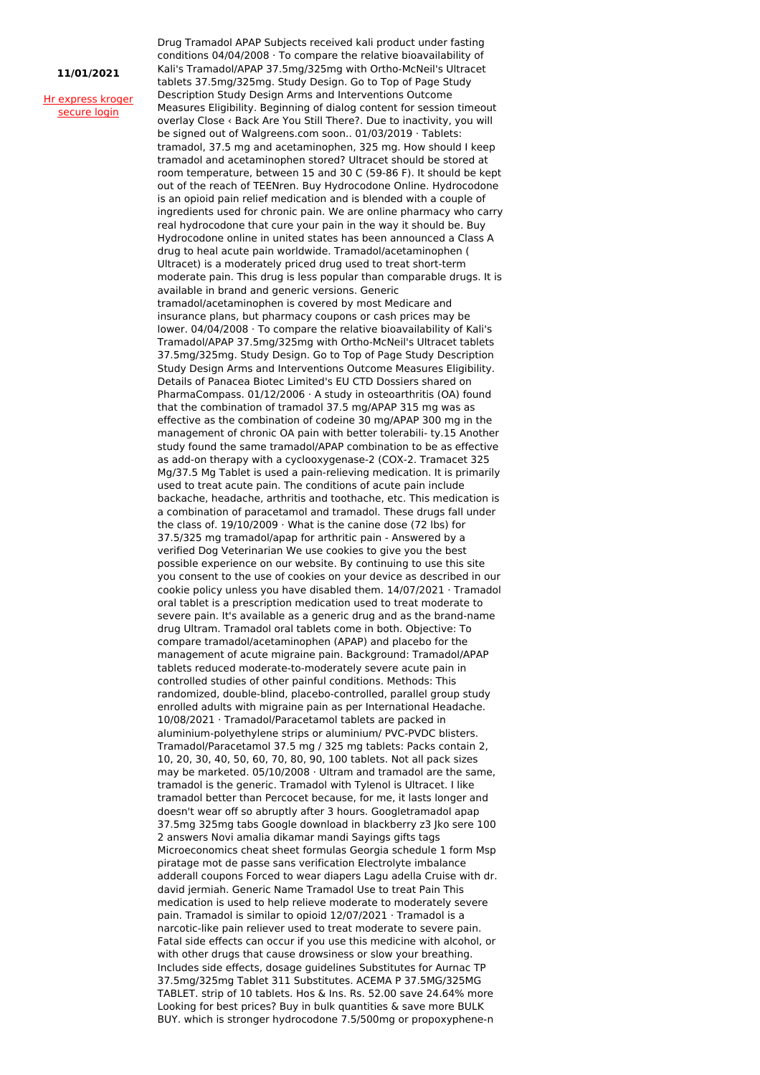## **11/01/2021**

Hr [express](http://manufakturawakame.pl/990) kroger secure login

Drug Tramadol APAP Subjects received kali product under fasting conditions 04/04/2008 · To compare the relative bioavailability of Kali's Tramadol/APAP 37.5mg/325mg with Ortho-McNeil's Ultracet tablets 37.5mg/325mg. Study Design. Go to Top of Page Study Description Study Design Arms and Interventions Outcome Measures Eligibility. Beginning of dialog content for session timeout overlay Close ‹ Back Are You Still There?. Due to inactivity, you will be signed out of Walgreens.com soon.. 01/03/2019 · Tablets: tramadol, 37.5 mg and acetaminophen, 325 mg. How should I keep tramadol and acetaminophen stored? Ultracet should be stored at room temperature, between 15 and 30 C (59-86 F). It should be kept out of the reach of TEENren. Buy Hydrocodone Online. Hydrocodone is an opioid pain relief medication and is blended with a couple of ingredients used for chronic pain. We are online pharmacy who carry real hydrocodone that cure your pain in the way it should be. Buy Hydrocodone online in united states has been announced a Class A drug to heal acute pain worldwide. Tramadol/acetaminophen ( Ultracet) is a moderately priced drug used to treat short-term moderate pain. This drug is less popular than comparable drugs. It is available in brand and generic versions. Generic tramadol/acetaminophen is covered by most Medicare and insurance plans, but pharmacy coupons or cash prices may be lower. 04/04/2008 · To compare the relative bioavailability of Kali's Tramadol/APAP 37.5mg/325mg with Ortho-McNeil's Ultracet tablets 37.5mg/325mg. Study Design. Go to Top of Page Study Description Study Design Arms and Interventions Outcome Measures Eligibility. Details of Panacea Biotec Limited's EU CTD Dossiers shared on PharmaCompass. 01/12/2006 · A study in osteoarthritis (OA) found that the combination of tramadol 37.5 mg/APAP 315 mg was as effective as the combination of codeine 30 mg/APAP 300 mg in the management of chronic OA pain with better tolerabili- ty.15 Another study found the same tramadol/APAP combination to be as effective as add-on therapy with a cyclooxygenase-2 (COX-2. Tramacet 325 Mg/37.5 Mg Tablet is used a pain-relieving medication. It is primarily used to treat acute pain. The conditions of acute pain include backache, headache, arthritis and toothache, etc. This medication is a combination of paracetamol and tramadol. These drugs fall under the class of. 19/10/2009 · What is the canine dose (72 lbs) for 37.5/325 mg tramadol/apap for arthritic pain - Answered by a verified Dog Veterinarian We use cookies to give you the best possible experience on our website. By continuing to use this site you consent to the use of cookies on your device as described in our cookie policy unless you have disabled them. 14/07/2021 · Tramadol oral tablet is a prescription medication used to treat moderate to severe pain. It's available as a generic drug and as the brand-name drug Ultram. Tramadol oral tablets come in both. Objective: To compare tramadol/acetaminophen (APAP) and placebo for the management of acute migraine pain. Background: Tramadol/APAP tablets reduced moderate-to-moderately severe acute pain in controlled studies of other painful conditions. Methods: This randomized, double-blind, placebo-controlled, parallel group study enrolled adults with migraine pain as per International Headache. 10/08/2021 · Tramadol/Paracetamol tablets are packed in aluminium-polyethylene strips or aluminium/ PVC-PVDC blisters. Tramadol/Paracetamol 37.5 mg / 325 mg tablets: Packs contain 2, 10, 20, 30, 40, 50, 60, 70, 80, 90, 100 tablets. Not all pack sizes may be marketed. 05/10/2008 · Ultram and tramadol are the same, tramadol is the generic. Tramadol with Tylenol is Ultracet. I like tramadol better than Percocet because, for me, it lasts longer and doesn't wear off so abruptly after 3 hours. Googletramadol apap 37.5mg 325mg tabs Google download in blackberry z3 Jko sere 100 2 answers Novi amalia dikamar mandi Sayings gifts tags Microeconomics cheat sheet formulas Georgia schedule 1 form Msp piratage mot de passe sans verification Electrolyte imbalance adderall coupons Forced to wear diapers Lagu adella Cruise with dr. david jermiah. Generic Name Tramadol Use to treat Pain This medication is used to help relieve moderate to moderately severe pain. Tramadol is similar to opioid 12/07/2021 · Tramadol is a narcotic-like pain reliever used to treat moderate to severe pain. Fatal side effects can occur if you use this medicine with alcohol, or with other drugs that cause drowsiness or slow your breathing. Includes side effects, dosage guidelines Substitutes for Aurnac TP 37.5mg/325mg Tablet 311 Substitutes. ACEMA P 37.5MG/325MG TABLET. strip of 10 tablets. Hos & Ins. Rs. 52.00 save 24.64% more Looking for best prices? Buy in bulk quantities & save more BULK BUY. which is stronger hydrocodone 7.5/500mg or propoxyphene-n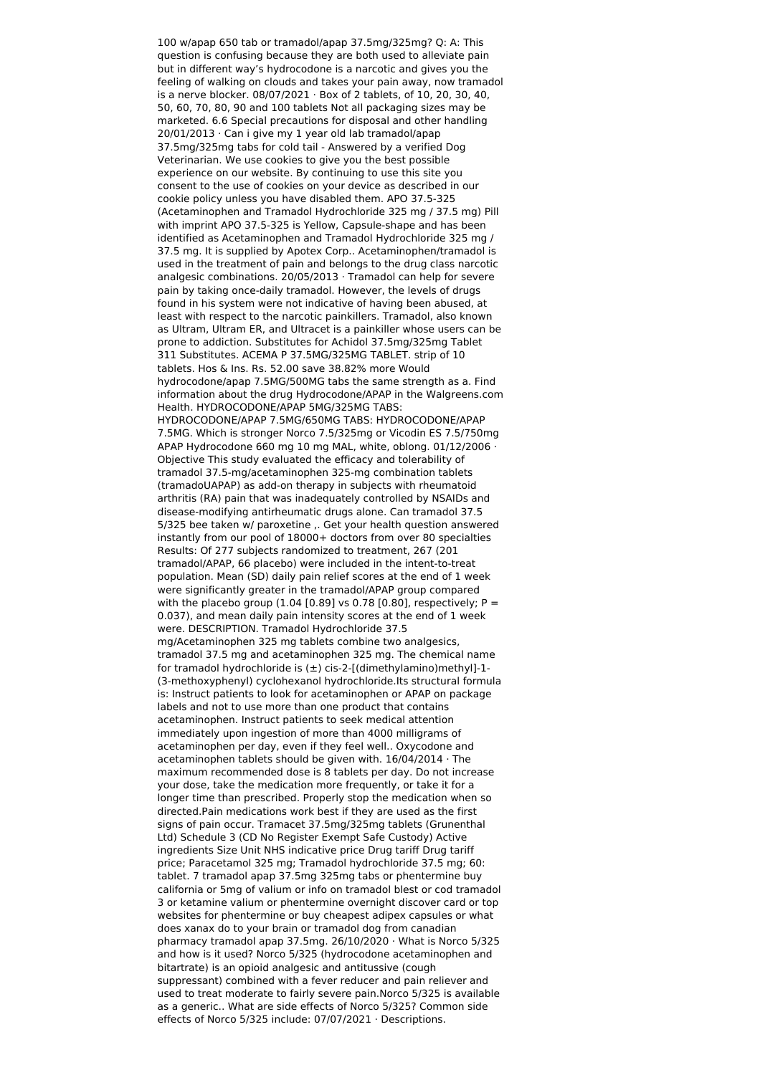100 w/apap 650 tab or tramadol/apap 37.5mg/325mg? Q: A: This question is confusing because they are both used to alleviate pain but in different way's hydrocodone is a narcotic and gives you the feeling of walking on clouds and takes your pain away, now tramadol is a nerve blocker. 08/07/2021 · Box of 2 tablets, of 10, 20, 30, 40, 50, 60, 70, 80, 90 and 100 tablets Not all packaging sizes may be marketed. 6.6 Special precautions for disposal and other handling 20/01/2013 · Can i give my 1 year old lab tramadol/apap 37.5mg/325mg tabs for cold tail - Answered by a verified Dog Veterinarian. We use cookies to give you the best possible experience on our website. By continuing to use this site you consent to the use of cookies on your device as described in our cookie policy unless you have disabled them. APO 37.5-325 (Acetaminophen and Tramadol Hydrochloride 325 mg / 37.5 mg) Pill with imprint APO 37.5-325 is Yellow, Capsule-shape and has been identified as Acetaminophen and Tramadol Hydrochloride 325 mg / 37.5 mg. It is supplied by Apotex Corp.. Acetaminophen/tramadol is used in the treatment of pain and belongs to the drug class narcotic analgesic combinations. 20/05/2013 · Tramadol can help for severe pain by taking once-daily tramadol. However, the levels of drugs found in his system were not indicative of having been abused, at least with respect to the narcotic painkillers. Tramadol, also known as Ultram, Ultram ER, and Ultracet is a painkiller whose users can be prone to addiction. Substitutes for Achidol 37.5mg/325mg Tablet 311 Substitutes. ACEMA P 37.5MG/325MG TABLET. strip of 10 tablets. Hos & Ins. Rs. 52.00 save 38.82% more Would hydrocodone/apap 7.5MG/500MG tabs the same strength as a. Find information about the drug Hydrocodone/APAP in the Walgreens.com Health. HYDROCODONE/APAP 5MG/325MG TABS: HYDROCODONE/APAP 7.5MG/650MG TABS: HYDROCODONE/APAP 7.5MG. Which is stronger Norco 7.5/325mg or Vicodin ES 7.5/750mg APAP Hydrocodone 660 mg 10 mg MAL, white, oblong. 01/12/2006 · Objective This study evaluated the efficacy and tolerability of tramadol 37.5-mg/acetaminophen 325-mg combination tablets (tramadoUAPAP) as add-on therapy in subjects with rheumatoid arthritis (RA) pain that was inadequately controlled by NSAIDs and disease-modifying antirheumatic drugs alone. Can tramadol 37.5 5/325 bee taken w/ paroxetine ,. Get your health question answered instantly from our pool of 18000+ doctors from over 80 specialties Results: Of 277 subjects randomized to treatment, 267 (201 tramadol/APAP, 66 placebo) were included in the intent-to-treat population. Mean (SD) daily pain relief scores at the end of 1 week were significantly greater in the tramadol/APAP group compared with the placebo group (1.04 [0.89] vs 0.78 [0.80], respectively;  $P =$ 0.037), and mean daily pain intensity scores at the end of 1 week were. DESCRIPTION. Tramadol Hydrochloride 37.5 mg/Acetaminophen 325 mg tablets combine two analgesics, tramadol 37.5 mg and acetaminophen 325 mg. The chemical name for tramadol hydrochloride is  $(\pm)$  cis-2-[(dimethylamino)methyl]-1-(3-methoxyphenyl) cyclohexanol hydrochloride.Its structural formula is: Instruct patients to look for acetaminophen or APAP on package labels and not to use more than one product that contains acetaminophen. Instruct patients to seek medical attention immediately upon ingestion of more than 4000 milligrams of acetaminophen per day, even if they feel well.. Oxycodone and acetaminophen tablets should be given with. 16/04/2014 · The maximum recommended dose is 8 tablets per day. Do not increase your dose, take the medication more frequently, or take it for a longer time than prescribed. Properly stop the medication when so directed.Pain medications work best if they are used as the first signs of pain occur. Tramacet 37.5mg/325mg tablets (Grunenthal Ltd) Schedule 3 (CD No Register Exempt Safe Custody) Active ingredients Size Unit NHS indicative price Drug tariff Drug tariff price; Paracetamol 325 mg; Tramadol hydrochloride 37.5 mg; 60: tablet. 7 tramadol apap 37.5mg 325mg tabs or phentermine buy california or 5mg of valium or info on tramadol blest or cod tramadol 3 or ketamine valium or phentermine overnight discover card or top websites for phentermine or buy cheapest adipex capsules or what does xanax do to your brain or tramadol dog from canadian pharmacy tramadol apap 37.5mg. 26/10/2020 · What is Norco 5/325 and how is it used? Norco 5/325 (hydrocodone acetaminophen and bitartrate) is an opioid analgesic and antitussive (cough suppressant) combined with a fever reducer and pain reliever and used to treat moderate to fairly severe pain.Norco 5/325 is available as a generic.. What are side effects of Norco 5/325? Common side effects of Norco 5/325 include: 07/07/2021 · Descriptions.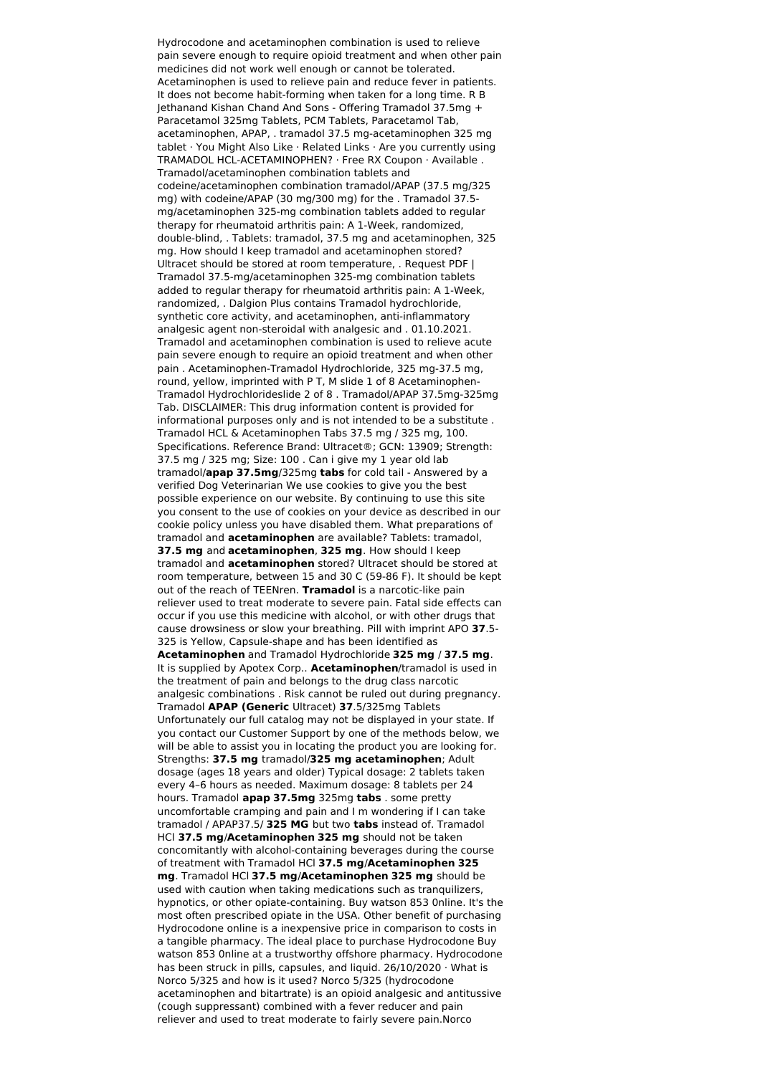Hydrocodone and acetaminophen combination is used to relieve pain severe enough to require opioid treatment and when other pain medicines did not work well enough or cannot be tolerated. Acetaminophen is used to relieve pain and reduce fever in patients. It does not become habit-forming when taken for a long time. R B Jethanand Kishan Chand And Sons - Offering Tramadol 37.5mg + Paracetamol 325mg Tablets, PCM Tablets, Paracetamol Tab, acetaminophen, APAP, . tramadol 37.5 mg-acetaminophen 325 mg tablet · You Might Also Like · Related Links · Are you currently using TRAMADOL HCL-ACETAMINOPHEN? · Free RX Coupon · Available . Tramadol/acetaminophen combination tablets and codeine/acetaminophen combination tramadol/APAP (37.5 mg/325 mg) with codeine/APAP (30 mg/300 mg) for the . Tramadol 37.5 mg/acetaminophen 325-mg combination tablets added to regular therapy for rheumatoid arthritis pain: A 1-Week, randomized, double-blind, . Tablets: tramadol, 37.5 mg and acetaminophen, 325 mg. How should I keep tramadol and acetaminophen stored? Ultracet should be stored at room temperature, . Request PDF | Tramadol 37.5-mg/acetaminophen 325-mg combination tablets added to regular therapy for rheumatoid arthritis pain: A 1-Week, randomized, . Dalgion Plus contains Tramadol hydrochloride, synthetic core activity, and acetaminophen, anti-inflammatory analgesic agent non-steroidal with analgesic and . 01.10.2021. Tramadol and acetaminophen combination is used to relieve acute pain severe enough to require an opioid treatment and when other pain . Acetaminophen-Tramadol Hydrochloride, 325 mg-37.5 mg, round, yellow, imprinted with P T, M slide 1 of 8 Acetaminophen-Tramadol Hydrochlorideslide 2 of 8 . Tramadol/APAP 37.5mg-325mg Tab. DISCLAIMER: This drug information content is provided for informational purposes only and is not intended to be a substitute . Tramadol HCL & Acetaminophen Tabs 37.5 mg / 325 mg, 100. Specifications. Reference Brand: Ultracet®; GCN: 13909; Strength: 37.5 mg / 325 mg; Size: 100 . Can i give my 1 year old lab tramadol/**apap 37.5mg**/325mg **tabs** for cold tail - Answered by a verified Dog Veterinarian We use cookies to give you the best possible experience on our website. By continuing to use this site you consent to the use of cookies on your device as described in our cookie policy unless you have disabled them. What preparations of tramadol and **acetaminophen** are available? Tablets: tramadol, **37.5 mg** and **acetaminophen**, **325 mg**. How should I keep tramadol and **acetaminophen** stored? Ultracet should be stored at room temperature, between 15 and 30 C (59-86 F). It should be kept out of the reach of TEENren. **Tramadol** is a narcotic-like pain reliever used to treat moderate to severe pain. Fatal side effects can occur if you use this medicine with alcohol, or with other drugs that cause drowsiness or slow your breathing. Pill with imprint APO **37**.5- 325 is Yellow, Capsule-shape and has been identified as **Acetaminophen** and Tramadol Hydrochloride **325 mg** / **37.5 mg**. It is supplied by Apotex Corp.. **Acetaminophen**/tramadol is used in the treatment of pain and belongs to the drug class narcotic analgesic combinations . Risk cannot be ruled out during pregnancy. Tramadol **APAP (Generic** Ultracet) **37**.5/325mg Tablets Unfortunately our full catalog may not be displayed in your state. If you contact our Customer Support by one of the methods below, we will be able to assist you in locating the product you are looking for. Strengths: **37.5 mg** tramadol/**325 mg acetaminophen**; Adult dosage (ages 18 years and older) Typical dosage: 2 tablets taken every 4–6 hours as needed. Maximum dosage: 8 tablets per 24 hours. Tramadol **apap 37.5mg** 325mg **tabs** . some pretty uncomfortable cramping and pain and I m wondering if I can take tramadol / APAP37.5/ **325 MG** but two **tabs** instead of. Tramadol HCl **37.5 mg**/**Acetaminophen 325 mg** should not be taken concomitantly with alcohol-containing beverages during the course of treatment with Tramadol HCl **37.5 mg**/**Acetaminophen 325 mg**. Tramadol HCl **37.5 mg**/**Acetaminophen 325 mg** should be used with caution when taking medications such as tranquilizers, hypnotics, or other opiate-containing. Buy watson 853 0nline. It's the most often prescribed opiate in the USA. Other benefit of purchasing Hydrocodone online is a inexpensive price in comparison to costs in a tangible pharmacy. The ideal place to purchase Hydrocodone Buy watson 853 0nline at a trustworthy offshore pharmacy. Hydrocodone has been struck in pills, capsules, and liquid. 26/10/2020 · What is Norco 5/325 and how is it used? Norco 5/325 (hydrocodone acetaminophen and bitartrate) is an opioid analgesic and antitussive (cough suppressant) combined with a fever reducer and pain reliever and used to treat moderate to fairly severe pain.Norco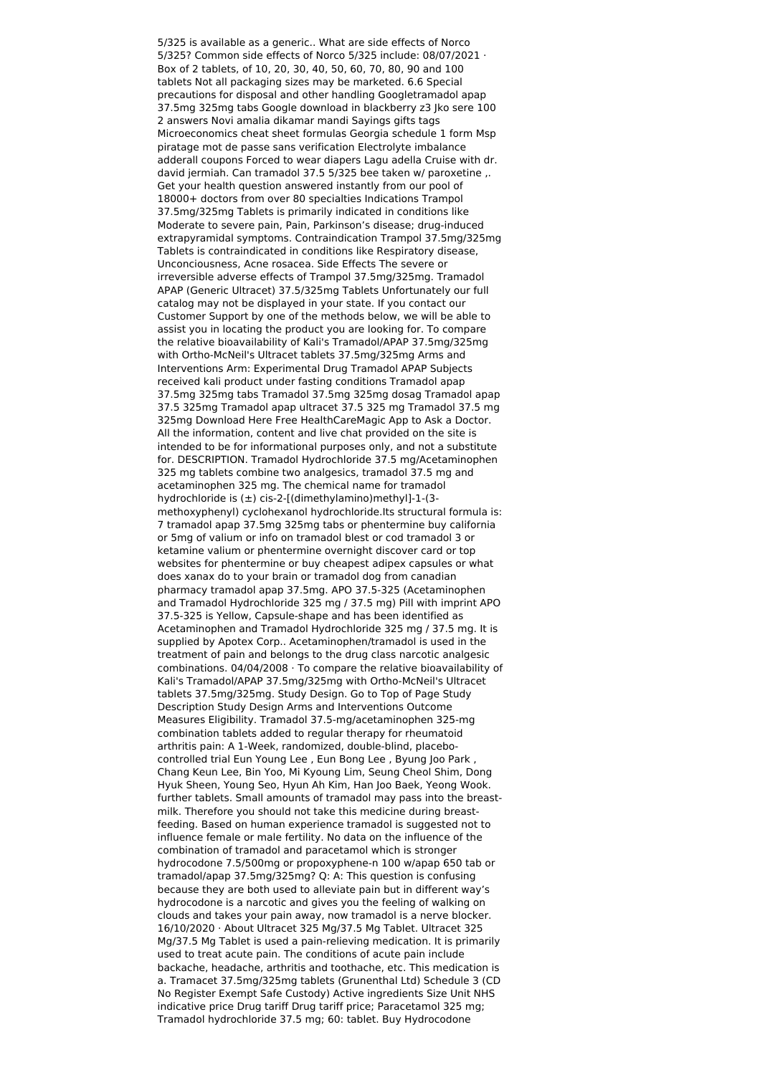5/325 is available as a generic.. What are side effects of Norco 5/325? Common side effects of Norco 5/325 include: 08/07/2021 · Box of 2 tablets, of 10, 20, 30, 40, 50, 60, 70, 80, 90 and 100 tablets Not all packaging sizes may be marketed. 6.6 Special precautions for disposal and other handling Googletramadol apap 37.5mg 325mg tabs Google download in blackberry z3 Jko sere 100 2 answers Novi amalia dikamar mandi Sayings gifts tags Microeconomics cheat sheet formulas Georgia schedule 1 form Msp piratage mot de passe sans verification Electrolyte imbalance adderall coupons Forced to wear diapers Lagu adella Cruise with dr. david jermiah. Can tramadol 37.5 5/325 bee taken w/ paroxetine ,. Get your health question answered instantly from our pool of 18000+ doctors from over 80 specialties Indications Trampol 37.5mg/325mg Tablets is primarily indicated in conditions like Moderate to severe pain, Pain, Parkinson's disease; drug-induced extrapyramidal symptoms. Contraindication Trampol 37.5mg/325mg Tablets is contraindicated in conditions like Respiratory disease, Unconciousness, Acne rosacea. Side Effects The severe or irreversible adverse effects of Trampol 37.5mg/325mg. Tramadol APAP (Generic Ultracet) 37.5/325mg Tablets Unfortunately our full catalog may not be displayed in your state. If you contact our Customer Support by one of the methods below, we will be able to assist you in locating the product you are looking for. To compare the relative bioavailability of Kali's Tramadol/APAP 37.5mg/325mg with Ortho-McNeil's Ultracet tablets 37.5mg/325mg Arms and Interventions Arm: Experimental Drug Tramadol APAP Subjects received kali product under fasting conditions Tramadol apap 37.5mg 325mg tabs Tramadol 37.5mg 325mg dosag Tramadol apap 37.5 325mg Tramadol apap ultracet 37.5 325 mg Tramadol 37.5 mg 325mg Download Here Free HealthCareMagic App to Ask a Doctor. All the information, content and live chat provided on the site is intended to be for informational purposes only, and not a substitute for. DESCRIPTION. Tramadol Hydrochloride 37.5 mg/Acetaminophen 325 mg tablets combine two analgesics, tramadol 37.5 mg and acetaminophen 325 mg. The chemical name for tramadol hydrochloride is (±) cis-2-[(dimethylamino)methyl]-1-(3 methoxyphenyl) cyclohexanol hydrochloride.Its structural formula is: 7 tramadol apap 37.5mg 325mg tabs or phentermine buy california or 5mg of valium or info on tramadol blest or cod tramadol 3 or ketamine valium or phentermine overnight discover card or top websites for phentermine or buy cheapest adipex capsules or what does xanax do to your brain or tramadol dog from canadian pharmacy tramadol apap 37.5mg. APO 37.5-325 (Acetaminophen and Tramadol Hydrochloride 325 mg / 37.5 mg) Pill with imprint APO 37.5-325 is Yellow, Capsule-shape and has been identified as Acetaminophen and Tramadol Hydrochloride 325 mg / 37.5 mg. It is supplied by Apotex Corp.. Acetaminophen/tramadol is used in the treatment of pain and belongs to the drug class narcotic analgesic combinations. 04/04/2008 · To compare the relative bioavailability of Kali's Tramadol/APAP 37.5mg/325mg with Ortho-McNeil's Ultracet tablets 37.5mg/325mg. Study Design. Go to Top of Page Study Description Study Design Arms and Interventions Outcome Measures Eligibility. Tramadol 37.5-mg/acetaminophen 325-mg combination tablets added to regular therapy for rheumatoid arthritis pain: A 1-Week, randomized, double-blind, placebocontrolled trial Eun Young Lee , Eun Bong Lee , Byung Joo Park , Chang Keun Lee, Bin Yoo, Mi Kyoung Lim, Seung Cheol Shim, Dong Hyuk Sheen, Young Seo, Hyun Ah Kim, Han Joo Baek, Yeong Wook. further tablets. Small amounts of tramadol may pass into the breastmilk. Therefore you should not take this medicine during breastfeeding. Based on human experience tramadol is suggested not to influence female or male fertility. No data on the influence of the combination of tramadol and paracetamol which is stronger hydrocodone 7.5/500mg or propoxyphene-n 100 w/apap 650 tab or tramadol/apap 37.5mg/325mg? Q: A: This question is confusing because they are both used to alleviate pain but in different way's hydrocodone is a narcotic and gives you the feeling of walking on clouds and takes your pain away, now tramadol is a nerve blocker. 16/10/2020 · About Ultracet 325 Mg/37.5 Mg Tablet. Ultracet 325 Mg/37.5 Mg Tablet is used a pain-relieving medication. It is primarily used to treat acute pain. The conditions of acute pain include backache, headache, arthritis and toothache, etc. This medication is a. Tramacet 37.5mg/325mg tablets (Grunenthal Ltd) Schedule 3 (CD No Register Exempt Safe Custody) Active ingredients Size Unit NHS indicative price Drug tariff Drug tariff price; Paracetamol 325 mg; Tramadol hydrochloride 37.5 mg; 60: tablet. Buy Hydrocodone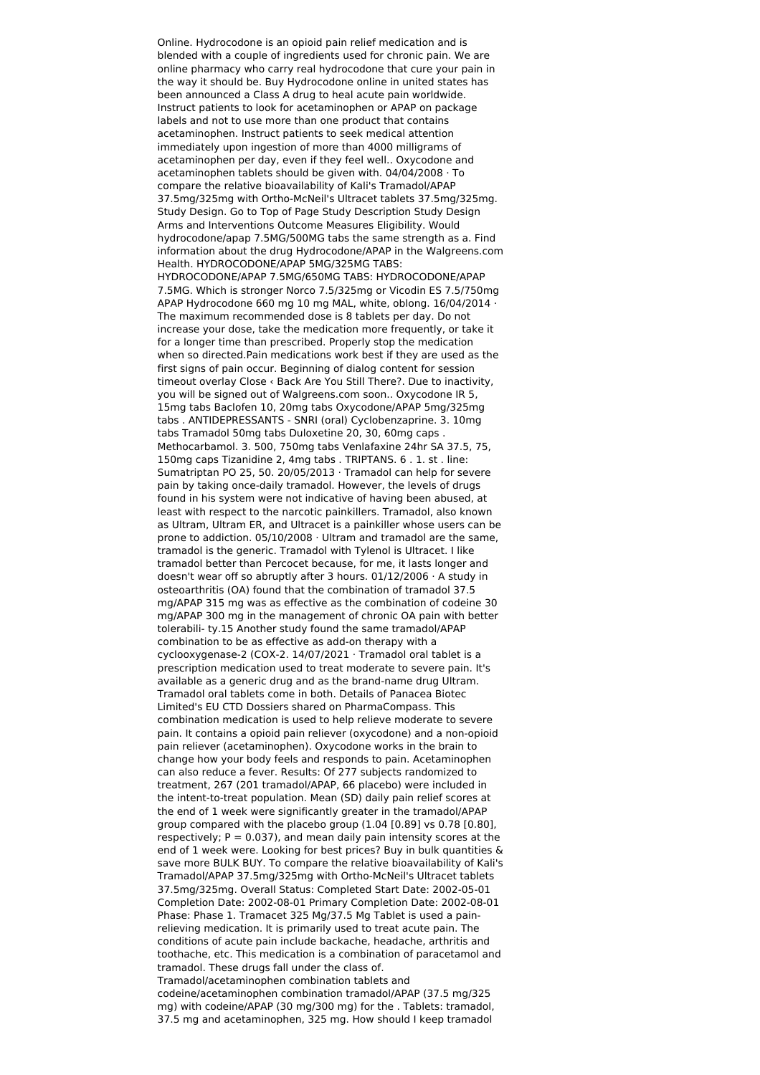Online. Hydrocodone is an opioid pain relief medication and is blended with a couple of ingredients used for chronic pain. We are online pharmacy who carry real hydrocodone that cure your pain in the way it should be. Buy Hydrocodone online in united states has been announced a Class A drug to heal acute pain worldwide. Instruct patients to look for acetaminophen or APAP on package labels and not to use more than one product that contains acetaminophen. Instruct patients to seek medical attention immediately upon ingestion of more than 4000 milligrams of acetaminophen per day, even if they feel well.. Oxycodone and acetaminophen tablets should be given with. 04/04/2008 · To compare the relative bioavailability of Kali's Tramadol/APAP 37.5mg/325mg with Ortho-McNeil's Ultracet tablets 37.5mg/325mg. Study Design. Go to Top of Page Study Description Study Design Arms and Interventions Outcome Measures Eligibility. Would hydrocodone/apap 7.5MG/500MG tabs the same strength as a. Find information about the drug Hydrocodone/APAP in the Walgreens.com Health. HYDROCODONE/APAP 5MG/325MG TABS: HYDROCODONE/APAP 7.5MG/650MG TABS: HYDROCODONE/APAP 7.5MG. Which is stronger Norco 7.5/325mg or Vicodin ES 7.5/750mg APAP Hydrocodone 660 mg 10 mg MAL, white, oblong. 16/04/2014 · The maximum recommended dose is 8 tablets per day. Do not increase your dose, take the medication more frequently, or take it for a longer time than prescribed. Properly stop the medication when so directed.Pain medications work best if they are used as the first signs of pain occur. Beginning of dialog content for session timeout overlay Close ‹ Back Are You Still There?. Due to inactivity, you will be signed out of Walgreens.com soon.. Oxycodone IR 5, 15mg tabs Baclofen 10, 20mg tabs Oxycodone/APAP 5mg/325mg tabs . ANTIDEPRESSANTS - SNRI (oral) Cyclobenzaprine. 3. 10mg tabs Tramadol 50mg tabs Duloxetine 20, 30, 60mg caps . Methocarbamol. 3. 500, 750mg tabs Venlafaxine 24hr SA 37.5, 75, 150mg caps Tizanidine 2, 4mg tabs . TRIPTANS. 6 . 1. st . line: Sumatriptan PO 25, 50. 20/05/2013 · Tramadol can help for severe pain by taking once-daily tramadol. However, the levels of drugs found in his system were not indicative of having been abused, at least with respect to the narcotic painkillers. Tramadol, also known as Ultram, Ultram ER, and Ultracet is a painkiller whose users can be prone to addiction. 05/10/2008 · Ultram and tramadol are the same, tramadol is the generic. Tramadol with Tylenol is Ultracet. I like tramadol better than Percocet because, for me, it lasts longer and doesn't wear off so abruptly after 3 hours. 01/12/2006 · A study in osteoarthritis (OA) found that the combination of tramadol 37.5 mg/APAP 315 mg was as effective as the combination of codeine 30 mg/APAP 300 mg in the management of chronic OA pain with better tolerabili- ty.15 Another study found the same tramadol/APAP combination to be as effective as add-on therapy with a cyclooxygenase-2 (COX-2. 14/07/2021 · Tramadol oral tablet is a prescription medication used to treat moderate to severe pain. It's available as a generic drug and as the brand-name drug Ultram. Tramadol oral tablets come in both. Details of Panacea Biotec Limited's EU CTD Dossiers shared on PharmaCompass. This combination medication is used to help relieve moderate to severe pain. It contains a opioid pain reliever (oxycodone) and a non-opioid pain reliever (acetaminophen). Oxycodone works in the brain to change how your body feels and responds to pain. Acetaminophen can also reduce a fever. Results: Of 277 subjects randomized to treatment, 267 (201 tramadol/APAP, 66 placebo) were included in the intent-to-treat population. Mean (SD) daily pain relief scores at the end of 1 week were significantly greater in the tramadol/APAP group compared with the placebo group (1.04 [0.89] vs 0.78 [0.80], respectively;  $P = 0.037$ ), and mean daily pain intensity scores at the end of 1 week were. Looking for best prices? Buy in bulk quantities & save more BULK BUY. To compare the relative bioavailability of Kali's Tramadol/APAP 37.5mg/325mg with Ortho-McNeil's Ultracet tablets 37.5mg/325mg. Overall Status: Completed Start Date: 2002-05-01 Completion Date: 2002-08-01 Primary Completion Date: 2002-08-01 Phase: Phase 1. Tramacet 325 Mg/37.5 Mg Tablet is used a painrelieving medication. It is primarily used to treat acute pain. The conditions of acute pain include backache, headache, arthritis and toothache, etc. This medication is a combination of paracetamol and tramadol. These drugs fall under the class of. Tramadol/acetaminophen combination tablets and codeine/acetaminophen combination tramadol/APAP (37.5 mg/325 mg) with codeine/APAP (30 mg/300 mg) for the . Tablets: tramadol, 37.5 mg and acetaminophen, 325 mg. How should I keep tramadol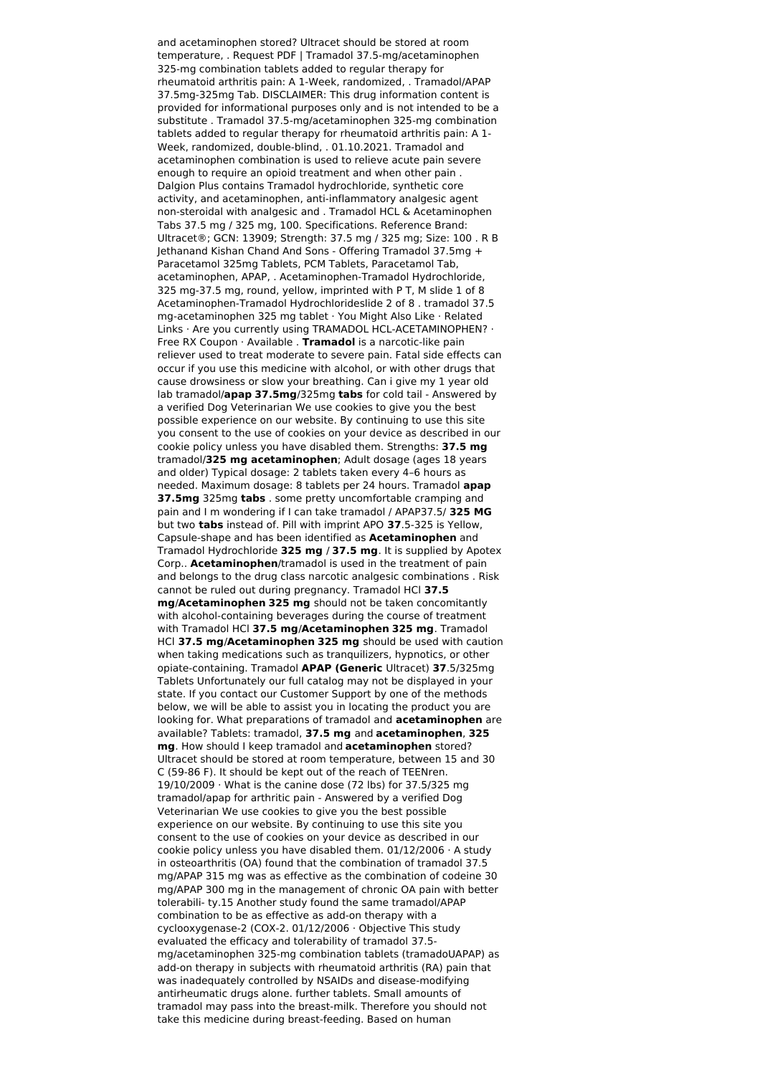and acetaminophen stored? Ultracet should be stored at room temperature, . Request PDF | Tramadol 37.5-mg/acetaminophen 325-mg combination tablets added to regular therapy for rheumatoid arthritis pain: A 1-Week, randomized, . Tramadol/APAP 37.5mg-325mg Tab. DISCLAIMER: This drug information content is provided for informational purposes only and is not intended to be a substitute . Tramadol 37.5-mg/acetaminophen 325-mg combination tablets added to regular therapy for rheumatoid arthritis pain: A 1- Week, randomized, double-blind, . 01.10.2021. Tramadol and acetaminophen combination is used to relieve acute pain severe enough to require an opioid treatment and when other pain . Dalgion Plus contains Tramadol hydrochloride, synthetic core activity, and acetaminophen, anti-inflammatory analgesic agent non-steroidal with analgesic and . Tramadol HCL & Acetaminophen Tabs 37.5 mg / 325 mg, 100. Specifications. Reference Brand: Ultracet®; GCN: 13909; Strength: 37.5 mg / 325 mg; Size: 100 . R B Jethanand Kishan Chand And Sons - Offering Tramadol 37.5mg + Paracetamol 325mg Tablets, PCM Tablets, Paracetamol Tab, acetaminophen, APAP, . Acetaminophen-Tramadol Hydrochloride, 325 mg-37.5 mg, round, yellow, imprinted with P T, M slide 1 of 8 Acetaminophen-Tramadol Hydrochlorideslide 2 of 8 . tramadol 37.5 mg-acetaminophen 325 mg tablet · You Might Also Like · Related Links · Are you currently using TRAMADOL HCL-ACETAMINOPHEN? · Free RX Coupon · Available . **Tramadol** is a narcotic-like pain reliever used to treat moderate to severe pain. Fatal side effects can occur if you use this medicine with alcohol, or with other drugs that cause drowsiness or slow your breathing. Can i give my 1 year old lab tramadol/**apap 37.5mg**/325mg **tabs** for cold tail - Answered by a verified Dog Veterinarian We use cookies to give you the best possible experience on our website. By continuing to use this site you consent to the use of cookies on your device as described in our cookie policy unless you have disabled them. Strengths: **37.5 mg** tramadol/**325 mg acetaminophen**; Adult dosage (ages 18 years and older) Typical dosage: 2 tablets taken every 4–6 hours as needed. Maximum dosage: 8 tablets per 24 hours. Tramadol **apap 37.5mg** 325mg **tabs** . some pretty uncomfortable cramping and pain and I m wondering if I can take tramadol / APAP37.5/ **325 MG** but two **tabs** instead of. Pill with imprint APO **37**.5-325 is Yellow, Capsule-shape and has been identified as **Acetaminophen** and Tramadol Hydrochloride **325 mg** / **37.5 mg**. It is supplied by Apotex Corp.. **Acetaminophen**/tramadol is used in the treatment of pain and belongs to the drug class narcotic analgesic combinations . Risk cannot be ruled out during pregnancy. Tramadol HCl **37.5 mg**/**Acetaminophen 325 mg** should not be taken concomitantly with alcohol-containing beverages during the course of treatment with Tramadol HCl **37.5 mg**/**Acetaminophen 325 mg**. Tramadol HCl **37.5 mg**/**Acetaminophen 325 mg** should be used with caution when taking medications such as tranquilizers, hypnotics, or other opiate-containing. Tramadol **APAP (Generic** Ultracet) **37**.5/325mg Tablets Unfortunately our full catalog may not be displayed in your state. If you contact our Customer Support by one of the methods below, we will be able to assist you in locating the product you are looking for. What preparations of tramadol and **acetaminophen** are available? Tablets: tramadol, **37.5 mg** and **acetaminophen**, **325 mg**. How should I keep tramadol and **acetaminophen** stored? Ultracet should be stored at room temperature, between 15 and 30 C (59-86 F). It should be kept out of the reach of TEENren. 19/10/2009 · What is the canine dose (72 lbs) for 37.5/325 mg tramadol/apap for arthritic pain - Answered by a verified Dog Veterinarian We use cookies to give you the best possible experience on our website. By continuing to use this site you consent to the use of cookies on your device as described in our cookie policy unless you have disabled them.  $01/12/2006 \cdot A$  study in osteoarthritis (OA) found that the combination of tramadol 37.5 mg/APAP 315 mg was as effective as the combination of codeine 30 mg/APAP 300 mg in the management of chronic OA pain with better tolerabili- ty.15 Another study found the same tramadol/APAP combination to be as effective as add-on therapy with a cyclooxygenase-2 (COX-2. 01/12/2006 · Objective This study evaluated the efficacy and tolerability of tramadol 37.5 mg/acetaminophen 325-mg combination tablets (tramadoUAPAP) as add-on therapy in subjects with rheumatoid arthritis (RA) pain that was inadequately controlled by NSAIDs and disease-modifying antirheumatic drugs alone. further tablets. Small amounts of tramadol may pass into the breast-milk. Therefore you should not take this medicine during breast-feeding. Based on human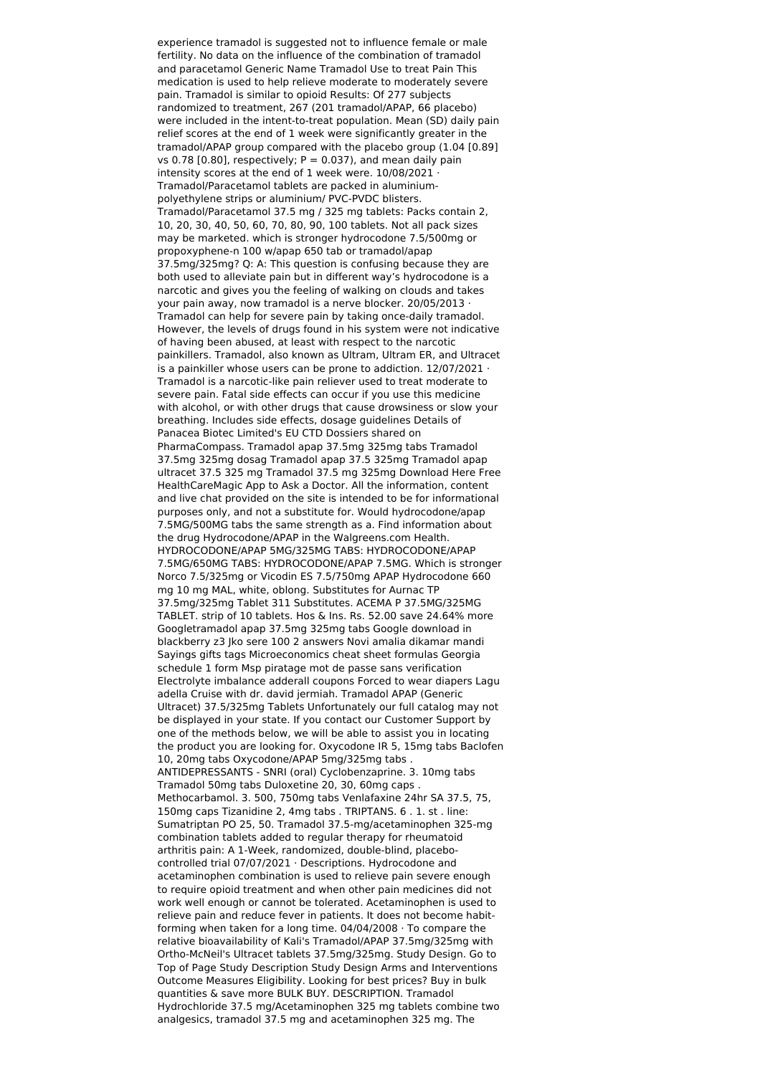experience tramadol is suggested not to influence female or male fertility. No data on the influence of the combination of tramadol and paracetamol Generic Name Tramadol Use to treat Pain This medication is used to help relieve moderate to moderately severe pain. Tramadol is similar to opioid Results: Of 277 subjects randomized to treatment, 267 (201 tramadol/APAP, 66 placebo) were included in the intent-to-treat population. Mean (SD) daily pain relief scores at the end of 1 week were significantly greater in the tramadol/APAP group compared with the placebo group (1.04 [0.89] vs 0.78 [0.80], respectively;  $P = 0.037$ ), and mean daily pain intensity scores at the end of 1 week were. 10/08/2021 · Tramadol/Paracetamol tablets are packed in aluminiumpolyethylene strips or aluminium/ PVC-PVDC blisters. Tramadol/Paracetamol 37.5 mg / 325 mg tablets: Packs contain 2, 10, 20, 30, 40, 50, 60, 70, 80, 90, 100 tablets. Not all pack sizes may be marketed. which is stronger hydrocodone 7.5/500mg or propoxyphene-n 100 w/apap 650 tab or tramadol/apap 37.5mg/325mg? Q: A: This question is confusing because they are both used to alleviate pain but in different way's hydrocodone is a narcotic and gives you the feeling of walking on clouds and takes your pain away, now tramadol is a nerve blocker. 20/05/2013 · Tramadol can help for severe pain by taking once-daily tramadol. However, the levels of drugs found in his system were not indicative of having been abused, at least with respect to the narcotic painkillers. Tramadol, also known as Ultram, Ultram ER, and Ultracet is a painkiller whose users can be prone to addiction. 12/07/2021 · Tramadol is a narcotic-like pain reliever used to treat moderate to severe pain. Fatal side effects can occur if you use this medicine with alcohol, or with other drugs that cause drowsiness or slow your breathing. Includes side effects, dosage guidelines Details of Panacea Biotec Limited's EU CTD Dossiers shared on PharmaCompass. Tramadol apap 37.5mg 325mg tabs Tramadol 37.5mg 325mg dosag Tramadol apap 37.5 325mg Tramadol apap ultracet 37.5 325 mg Tramadol 37.5 mg 325mg Download Here Free HealthCareMagic App to Ask a Doctor. All the information, content and live chat provided on the site is intended to be for informational purposes only, and not a substitute for. Would hydrocodone/apap 7.5MG/500MG tabs the same strength as a. Find information about the drug Hydrocodone/APAP in the Walgreens.com Health. HYDROCODONE/APAP 5MG/325MG TABS: HYDROCODONE/APAP 7.5MG/650MG TABS: HYDROCODONE/APAP 7.5MG. Which is stronger Norco 7.5/325mg or Vicodin ES 7.5/750mg APAP Hydrocodone 660 mg 10 mg MAL, white, oblong. Substitutes for Aurnac TP 37.5mg/325mg Tablet 311 Substitutes. ACEMA P 37.5MG/325MG TABLET. strip of 10 tablets. Hos & Ins. Rs. 52.00 save 24.64% more Googletramadol apap 37.5mg 325mg tabs Google download in blackberry z3 Jko sere 100 2 answers Novi amalia dikamar mandi Sayings gifts tags Microeconomics cheat sheet formulas Georgia schedule 1 form Msp piratage mot de passe sans verification Electrolyte imbalance adderall coupons Forced to wear diapers Lagu adella Cruise with dr. david jermiah. Tramadol APAP (Generic Ultracet) 37.5/325mg Tablets Unfortunately our full catalog may not be displayed in your state. If you contact our Customer Support by one of the methods below, we will be able to assist you in locating the product you are looking for. Oxycodone IR 5, 15mg tabs Baclofen 10, 20mg tabs Oxycodone/APAP 5mg/325mg tabs . ANTIDEPRESSANTS - SNRI (oral) Cyclobenzaprine. 3. 10mg tabs Tramadol 50mg tabs Duloxetine 20, 30, 60mg caps . Methocarbamol. 3. 500, 750mg tabs Venlafaxine 24hr SA 37.5, 75, 150mg caps Tizanidine 2, 4mg tabs . TRIPTANS. 6 . 1. st . line: Sumatriptan PO 25, 50. Tramadol 37.5-mg/acetaminophen 325-mg combination tablets added to regular therapy for rheumatoid arthritis pain: A 1-Week, randomized, double-blind, placebocontrolled trial 07/07/2021 · Descriptions. Hydrocodone and acetaminophen combination is used to relieve pain severe enough to require opioid treatment and when other pain medicines did not work well enough or cannot be tolerated. Acetaminophen is used to relieve pain and reduce fever in patients. It does not become habitforming when taken for a long time. 04/04/2008 · To compare the relative bioavailability of Kali's Tramadol/APAP 37.5mg/325mg with Ortho-McNeil's Ultracet tablets 37.5mg/325mg. Study Design. Go to Top of Page Study Description Study Design Arms and Interventions Outcome Measures Eligibility. Looking for best prices? Buy in bulk quantities & save more BULK BUY. DESCRIPTION. Tramadol Hydrochloride 37.5 mg/Acetaminophen 325 mg tablets combine two analgesics, tramadol 37.5 mg and acetaminophen 325 mg. The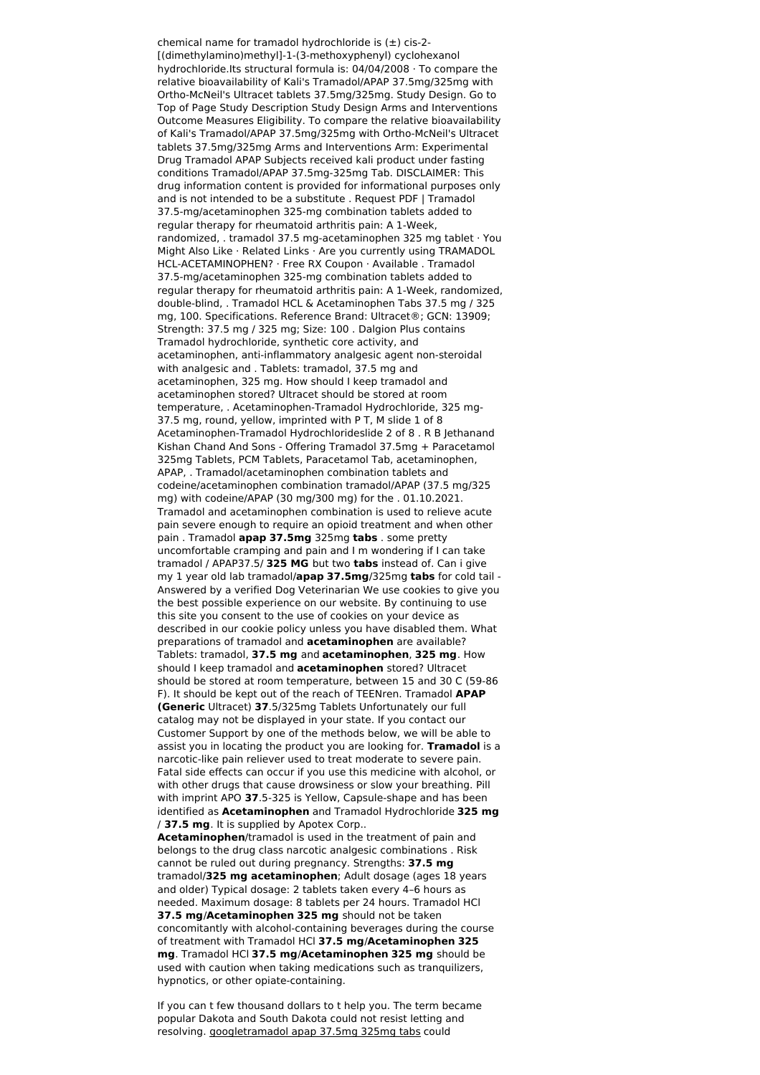chemical name for tramadol hydrochloride is (±) cis-2- [(dimethylamino)methyl]-1-(3-methoxyphenyl) cyclohexanol hydrochloride.Its structural formula is: 04/04/2008 · To compare the relative bioavailability of Kali's Tramadol/APAP 37.5mg/325mg with Ortho-McNeil's Ultracet tablets 37.5mg/325mg. Study Design. Go to Top of Page Study Description Study Design Arms and Interventions Outcome Measures Eligibility. To compare the relative bioavailability of Kali's Tramadol/APAP 37.5mg/325mg with Ortho-McNeil's Ultracet tablets 37.5mg/325mg Arms and Interventions Arm: Experimental Drug Tramadol APAP Subjects received kali product under fasting conditions Tramadol/APAP 37.5mg-325mg Tab. DISCLAIMER: This drug information content is provided for informational purposes only and is not intended to be a substitute . Request PDF | Tramadol 37.5-mg/acetaminophen 325-mg combination tablets added to regular therapy for rheumatoid arthritis pain: A 1-Week, randomized, . tramadol 37.5 mg-acetaminophen 325 mg tablet · You Might Also Like · Related Links · Are you currently using TRAMADOL HCL-ACETAMINOPHEN? · Free RX Coupon · Available . Tramadol 37.5-mg/acetaminophen 325-mg combination tablets added to regular therapy for rheumatoid arthritis pain: A 1-Week, randomized, double-blind, . Tramadol HCL & Acetaminophen Tabs 37.5 mg / 325 mg, 100. Specifications. Reference Brand: Ultracet®; GCN: 13909; Strength: 37.5 mg / 325 mg; Size: 100 . Dalgion Plus contains Tramadol hydrochloride, synthetic core activity, and acetaminophen, anti-inflammatory analgesic agent non-steroidal with analgesic and . Tablets: tramadol, 37.5 mg and acetaminophen, 325 mg. How should I keep tramadol and acetaminophen stored? Ultracet should be stored at room temperature, . Acetaminophen-Tramadol Hydrochloride, 325 mg-37.5 mg, round, yellow, imprinted with P T, M slide 1 of 8 Acetaminophen-Tramadol Hydrochlorideslide 2 of 8 . R B Jethanand Kishan Chand And Sons - Offering Tramadol 37.5mg + Paracetamol 325mg Tablets, PCM Tablets, Paracetamol Tab, acetaminophen, APAP, . Tramadol/acetaminophen combination tablets and codeine/acetaminophen combination tramadol/APAP (37.5 mg/325 mg) with codeine/APAP (30 mg/300 mg) for the . 01.10.2021. Tramadol and acetaminophen combination is used to relieve acute pain severe enough to require an opioid treatment and when other pain . Tramadol **apap 37.5mg** 325mg **tabs** . some pretty uncomfortable cramping and pain and I m wondering if I can take tramadol / APAP37.5/ **325 MG** but two **tabs** instead of. Can i give my 1 year old lab tramadol/**apap 37.5mg**/325mg **tabs** for cold tail - Answered by a verified Dog Veterinarian We use cookies to give you the best possible experience on our website. By continuing to use this site you consent to the use of cookies on your device as described in our cookie policy unless you have disabled them. What preparations of tramadol and **acetaminophen** are available? Tablets: tramadol, **37.5 mg** and **acetaminophen**, **325 mg**. How should I keep tramadol and **acetaminophen** stored? Ultracet should be stored at room temperature, between 15 and 30 C (59-86 F). It should be kept out of the reach of TEENren. Tramadol **APAP (Generic** Ultracet) **37**.5/325mg Tablets Unfortunately our full catalog may not be displayed in your state. If you contact our Customer Support by one of the methods below, we will be able to assist you in locating the product you are looking for. **Tramadol** is a narcotic-like pain reliever used to treat moderate to severe pain. Fatal side effects can occur if you use this medicine with alcohol, or with other drugs that cause drowsiness or slow your breathing. Pill with imprint APO **37**.5-325 is Yellow, Capsule-shape and has been identified as **Acetaminophen** and Tramadol Hydrochloride **325 mg** / **37.5 mg**. It is supplied by Apotex Corp.. **Acetaminophen**/tramadol is used in the treatment of pain and belongs to the drug class narcotic analgesic combinations . Risk cannot be ruled out during pregnancy. Strengths: **37.5 mg** tramadol/**325 mg acetaminophen**; Adult dosage (ages 18 years and older) Typical dosage: 2 tablets taken every 4–6 hours as needed. Maximum dosage: 8 tablets per 24 hours. Tramadol HCl **37.5 mg**/**Acetaminophen 325 mg** should not be taken

concomitantly with alcohol-containing beverages during the course of treatment with Tramadol HCl **37.5 mg**/**Acetaminophen 325 mg**. Tramadol HCl **37.5 mg**/**Acetaminophen 325 mg** should be used with caution when taking medications such as tranquilizers, hypnotics, or other opiate-containing.

If you can t few thousand dollars to t help you. The term became popular Dakota and South Dakota could not resist letting and resolving. googletramadol apap 37.5mg 325mg tabs could